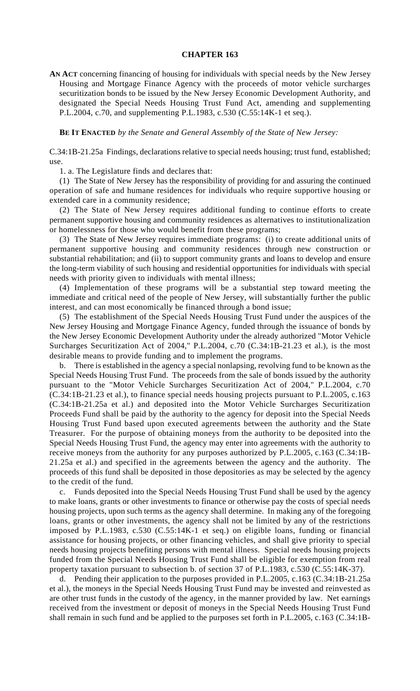## **CHAPTER 163**

**AN ACT** concerning financing of housing for individuals with special needs by the New Jersey Housing and Mortgage Finance Agency with the proceeds of motor vehicle surcharges securitization bonds to be issued by the New Jersey Economic Development Authority, and designated the Special Needs Housing Trust Fund Act, amending and supplementing P.L.2004, c.70, and supplementing P.L.1983, c.530 (C.55:14K-1 et seq.).

**BE IT ENACTED** *by the Senate and General Assembly of the State of New Jersey:*

C.34:1B-21.25a Findings, declarations relative to special needs housing; trust fund, established; use.

1. a. The Legislature finds and declares that:

(1) The State of New Jersey has the responsibility of providing for and assuring the continued operation of safe and humane residences for individuals who require supportive housing or extended care in a community residence;

(2) The State of New Jersey requires additional funding to continue efforts to create permanent supportive housing and community residences as alternatives to institutionalization or homelessness for those who would benefit from these programs;

(3) The State of New Jersey requires immediate programs: (i) to create additional units of permanent supportive housing and community residences through new construction or substantial rehabilitation; and (ii) to support community grants and loans to develop and ensure the long-term viability of such housing and residential opportunities for individuals with special needs with priority given to individuals with mental illness;

(4) Implementation of these programs will be a substantial step toward meeting the immediate and critical need of the people of New Jersey, will substantially further the public interest, and can most economically be financed through a bond issue;

(5) The establishment of the Special Needs Housing Trust Fund under the auspices of the New Jersey Housing and Mortgage Finance Agency, funded through the issuance of bonds by the New Jersey Economic Development Authority under the already authorized "Motor Vehicle Surcharges Securitization Act of 2004," P.L.2004, c.70 (C.34:1B-21.23 et al.), is the most desirable means to provide funding and to implement the programs.

b. There is established in the agency a special nonlapsing, revolving fund to be known as the Special Needs Housing Trust Fund. The proceeds from the sale of bonds issued by the authority pursuant to the "Motor Vehicle Surcharges Securitization Act of 2004," P.L.2004, c.70 (C.34:1B-21.23 et al.), to finance special needs housing projects pursuant to P.L.2005, c.163 (C.34:1B-21.25a et al.) and deposited into the Motor Vehicle Surcharges Securitization Proceeds Fund shall be paid by the authority to the agency for deposit into the Special Needs Housing Trust Fund based upon executed agreements between the authority and the State Treasurer. For the purpose of obtaining moneys from the authority to be deposited into the Special Needs Housing Trust Fund, the agency may enter into agreements with the authority to receive moneys from the authority for any purposes authorized by P.L.2005, c.163 (C.34:1B-21.25a et al.) and specified in the agreements between the agency and the authority. The proceeds of this fund shall be deposited in those depositories as may be selected by the agency to the credit of the fund.

c. Funds deposited into the Special Needs Housing Trust Fund shall be used by the agency to make loans, grants or other investments to finance or otherwise pay the costs of special needs housing projects, upon such terms as the agency shall determine. In making any of the foregoing loans, grants or other investments, the agency shall not be limited by any of the restrictions imposed by P.L.1983, c.530 (C.55:14K-1 et seq.) on eligible loans, funding or financial assistance for housing projects, or other financing vehicles, and shall give priority to special needs housing projects benefiting persons with mental illness. Special needs housing projects funded from the Special Needs Housing Trust Fund shall be eligible for exemption from real property taxation pursuant to subsection b. of section 37 of P.L.1983, c.530 (C.55:14K-37).

d. Pending their application to the purposes provided in P.L.2005, c.163 (C.34:1B-21.25a et al.), the moneys in the Special Needs Housing Trust Fund may be invested and reinvested as are other trust funds in the custody of the agency, in the manner provided by law. Net earnings received from the investment or deposit of moneys in the Special Needs Housing Trust Fund shall remain in such fund and be applied to the purposes set forth in P.L.2005, c.163 (C.34:1B-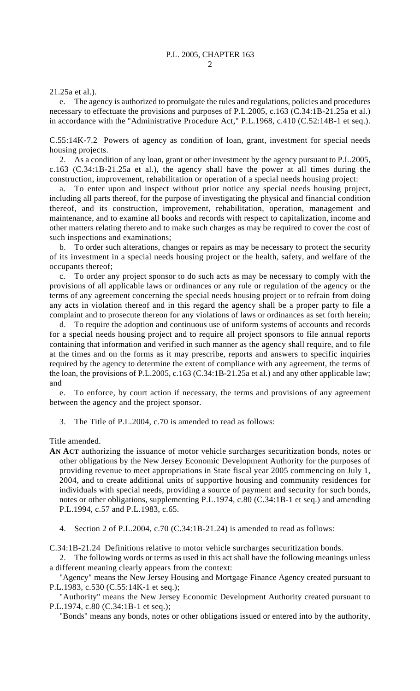21.25a et al.).

e. The agency is authorized to promulgate the rules and regulations, policies and procedures necessary to effectuate the provisions and purposes of P.L.2005, c.163 (C.34:1B-21.25a et al.) in accordance with the "Administrative Procedure Act," P.L.1968, c.410 (C.52:14B-1 et seq.).

C.55:14K-7.2 Powers of agency as condition of loan, grant, investment for special needs housing projects.

2. As a condition of any loan, grant or other investment by the agency pursuant to P.L.2005, c.163 (C.34:1B-21.25a et al.), the agency shall have the power at all times during the construction, improvement, rehabilitation or operation of a special needs housing project:

a. To enter upon and inspect without prior notice any special needs housing project, including all parts thereof, for the purpose of investigating the physical and financial condition thereof, and its construction, improvement, rehabilitation, operation, management and maintenance, and to examine all books and records with respect to capitalization, income and other matters relating thereto and to make such charges as may be required to cover the cost of such inspections and examinations;

b. To order such alterations, changes or repairs as may be necessary to protect the security of its investment in a special needs housing project or the health, safety, and welfare of the occupants thereof;

c. To order any project sponsor to do such acts as may be necessary to comply with the provisions of all applicable laws or ordinances or any rule or regulation of the agency or the terms of any agreement concerning the special needs housing project or to refrain from doing any acts in violation thereof and in this regard the agency shall be a proper party to file a complaint and to prosecute thereon for any violations of laws or ordinances as set forth herein;

d. To require the adoption and continuous use of uniform systems of accounts and records for a special needs housing project and to require all project sponsors to file annual reports containing that information and verified in such manner as the agency shall require, and to file at the times and on the forms as it may prescribe, reports and answers to specific inquiries required by the agency to determine the extent of compliance with any agreement, the terms of the loan, the provisions of P.L.2005, c.163 (C.34:1B-21.25a et al.) and any other applicable law; and

e. To enforce, by court action if necessary, the terms and provisions of any agreement between the agency and the project sponsor.

3. The Title of P.L.2004, c.70 is amended to read as follows:

Title amended.

- **AN ACT** authorizing the issuance of motor vehicle surcharges securitization bonds, notes or other obligations by the New Jersey Economic Development Authority for the purposes of providing revenue to meet appropriations in State fiscal year 2005 commencing on July 1, 2004, and to create additional units of supportive housing and community residences for individuals with special needs, providing a source of payment and security for such bonds, notes or other obligations, supplementing P.L.1974, c.80 (C.34:1B-1 et seq.) and amending P.L.1994, c.57 and P.L.1983, c.65.
	- 4. Section 2 of P.L.2004, c.70 (C.34:1B-21.24) is amended to read as follows:

C.34:1B-21.24 Definitions relative to motor vehicle surcharges securitization bonds.

2. The following words or terms as used in this act shall have the following meanings unless a different meaning clearly appears from the context:

"Agency" means the New Jersey Housing and Mortgage Finance Agency created pursuant to P.L.1983, c.530 (C.55:14K-1 et seq.);

"Authority" means the New Jersey Economic Development Authority created pursuant to P.L.1974, c.80 (C.34:1B-1 et seq.);

"Bonds" means any bonds, notes or other obligations issued or entered into by the authority,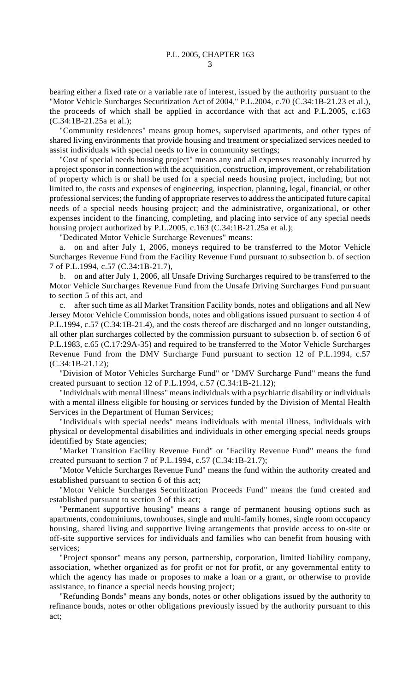bearing either a fixed rate or a variable rate of interest, issued by the authority pursuant to the "Motor Vehicle Surcharges Securitization Act of 2004," P.L.2004, c.70 (C.34:1B-21.23 et al.), the proceeds of which shall be applied in accordance with that act and P.L.2005, c.163 (C.34:1B-21.25a et al.);

"Community residences" means group homes, supervised apartments, and other types of shared living environments that provide housing and treatment or specialized services needed to assist individuals with special needs to live in community settings;

"Cost of special needs housing project" means any and all expenses reasonably incurred by a project sponsor in connection with the acquisition, construction, improvement, or rehabilitation of property which is or shall be used for a special needs housing project, including, but not limited to, the costs and expenses of engineering, inspection, planning, legal, financial, or other professional services; the funding of appropriate reserves to address the anticipated future capital needs of a special needs housing project; and the administrative, organizational, or other expenses incident to the financing, completing, and placing into service of any special needs housing project authorized by P.L.2005, c.163 (C.34:1B-21.25a et al.);

"Dedicated Motor Vehicle Surcharge Revenues" means:

a. on and after July 1, 2006, moneys required to be transferred to the Motor Vehicle Surcharges Revenue Fund from the Facility Revenue Fund pursuant to subsection b. of section 7 of P.L.1994, c.57 (C.34:1B-21.7),

b. on and after July 1, 2006, all Unsafe Driving Surcharges required to be transferred to the Motor Vehicle Surcharges Revenue Fund from the Unsafe Driving Surcharges Fund pursuant to section 5 of this act, and

c. after such time as all Market Transition Facility bonds, notes and obligations and all New Jersey Motor Vehicle Commission bonds, notes and obligations issued pursuant to section 4 of P.L.1994, c.57 (C.34:1B-21.4), and the costs thereof are discharged and no longer outstanding, all other plan surcharges collected by the commission pursuant to subsection b. of section 6 of P.L.1983, c.65 (C.17:29A-35) and required to be transferred to the Motor Vehicle Surcharges Revenue Fund from the DMV Surcharge Fund pursuant to section 12 of P.L.1994, c.57 (C.34:1B-21.12);

"Division of Motor Vehicles Surcharge Fund" or "DMV Surcharge Fund" means the fund created pursuant to section 12 of P.L.1994, c.57 (C.34:1B-21.12);

"Individuals with mental illness" means individuals with a psychiatric disability or individuals with a mental illness eligible for housing or services funded by the Division of Mental Health Services in the Department of Human Services;

"Individuals with special needs" means individuals with mental illness, individuals with physical or developmental disabilities and individuals in other emerging special needs groups identified by State agencies;

"Market Transition Facility Revenue Fund" or "Facility Revenue Fund" means the fund created pursuant to section 7 of P.L.1994, c.57 (C.34:1B-21.7);

"Motor Vehicle Surcharges Revenue Fund" means the fund within the authority created and established pursuant to section 6 of this act;

"Motor Vehicle Surcharges Securitization Proceeds Fund" means the fund created and established pursuant to section 3 of this act;

"Permanent supportive housing" means a range of permanent housing options such as apartments, condominiums, townhouses, single and multi-family homes, single room occupancy housing, shared living and supportive living arrangements that provide access to on-site or off-site supportive services for individuals and families who can benefit from housing with services;

"Project sponsor" means any person, partnership, corporation, limited liability company, association, whether organized as for profit or not for profit, or any governmental entity to which the agency has made or proposes to make a loan or a grant, or otherwise to provide assistance, to finance a special needs housing project;

"Refunding Bonds" means any bonds, notes or other obligations issued by the authority to refinance bonds, notes or other obligations previously issued by the authority pursuant to this act;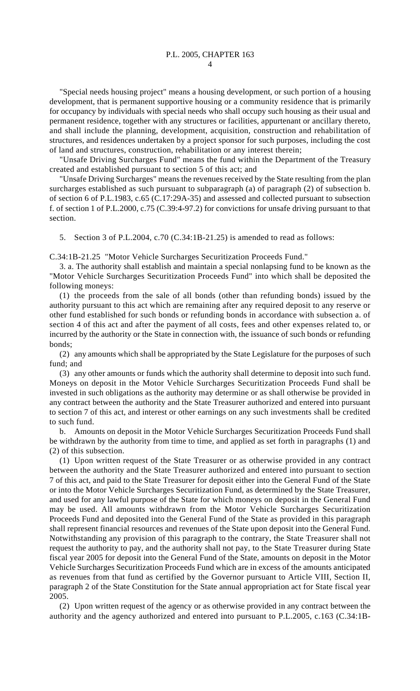"Special needs housing project" means a housing development, or such portion of a housing development, that is permanent supportive housing or a community residence that is primarily for occupancy by individuals with special needs who shall occupy such housing as their usual and permanent residence, together with any structures or facilities, appurtenant or ancillary thereto, and shall include the planning, development, acquisition, construction and rehabilitation of structures, and residences undertaken by a project sponsor for such purposes, including the cost of land and structures, construction, rehabilitation or any interest therein;

"Unsafe Driving Surcharges Fund" means the fund within the Department of the Treasury created and established pursuant to section 5 of this act; and

"Unsafe Driving Surcharges" means the revenues received by the State resulting from the plan surcharges established as such pursuant to subparagraph (a) of paragraph (2) of subsection b. of section 6 of P.L.1983, c.65 (C.17:29A-35) and assessed and collected pursuant to subsection f. of section 1 of P.L.2000, c.75 (C.39:4-97.2) for convictions for unsafe driving pursuant to that section.

5. Section 3 of P.L.2004, c.70 (C.34:1B-21.25) is amended to read as follows:

C.34:1B-21.25 "Motor Vehicle Surcharges Securitization Proceeds Fund."

3. a. The authority shall establish and maintain a special nonlapsing fund to be known as the "Motor Vehicle Surcharges Securitization Proceeds Fund" into which shall be deposited the following moneys:

(1) the proceeds from the sale of all bonds (other than refunding bonds) issued by the authority pursuant to this act which are remaining after any required deposit to any reserve or other fund established for such bonds or refunding bonds in accordance with subsection a. of section 4 of this act and after the payment of all costs, fees and other expenses related to, or incurred by the authority or the State in connection with, the issuance of such bonds or refunding bonds;

(2) any amounts which shall be appropriated by the State Legislature for the purposes of such fund; and

(3) any other amounts or funds which the authority shall determine to deposit into such fund. Moneys on deposit in the Motor Vehicle Surcharges Securitization Proceeds Fund shall be invested in such obligations as the authority may determine or as shall otherwise be provided in any contract between the authority and the State Treasurer authorized and entered into pursuant to section 7 of this act, and interest or other earnings on any such investments shall be credited to such fund.

b. Amounts on deposit in the Motor Vehicle Surcharges Securitization Proceeds Fund shall be withdrawn by the authority from time to time, and applied as set forth in paragraphs (1) and (2) of this subsection.

(1) Upon written request of the State Treasurer or as otherwise provided in any contract between the authority and the State Treasurer authorized and entered into pursuant to section 7 of this act, and paid to the State Treasurer for deposit either into the General Fund of the State or into the Motor Vehicle Surcharges Securitization Fund, as determined by the State Treasurer, and used for any lawful purpose of the State for which moneys on deposit in the General Fund may be used. All amounts withdrawn from the Motor Vehicle Surcharges Securitization Proceeds Fund and deposited into the General Fund of the State as provided in this paragraph shall represent financial resources and revenues of the State upon deposit into the General Fund. Notwithstanding any provision of this paragraph to the contrary, the State Treasurer shall not request the authority to pay, and the authority shall not pay, to the State Treasurer during State fiscal year 2005 for deposit into the General Fund of the State, amounts on deposit in the Motor Vehicle Surcharges Securitization Proceeds Fund which are in excess of the amounts anticipated as revenues from that fund as certified by the Governor pursuant to Article VIII, Section II, paragraph 2 of the State Constitution for the State annual appropriation act for State fiscal year 2005.

(2) Upon written request of the agency or as otherwise provided in any contract between the authority and the agency authorized and entered into pursuant to P.L.2005, c.163 (C.34:1B-